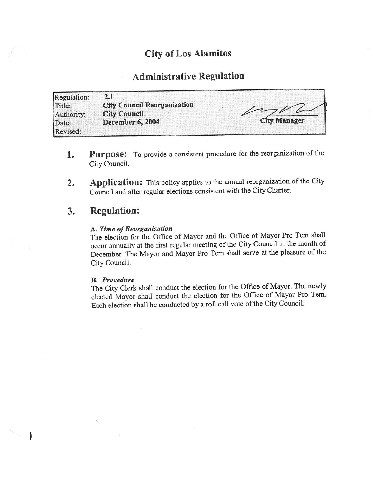### City of Los Alamitos

## Administrative Regulation

Regulation: 2.1 Title: City Council Reorganization<br>
Authority: City Council Authority: **City Council**<br>Date: **December 6,** December 6, 2004 City Manager Revised:

- 1. Purpose: To provide a consistent procedure for the reorganization of the City Council.
- 2. Application: This policy applies to the annual reorganization of the City Council and after regular elections consistent with the City Charter.

#### 3. Regulation:

#### A. Time of Reorganization

The election for the Office of Mayor and the Office of Mayor Pro Tem shall occur annually at the first regular meeting of the City Council in the month of December. The Mayor and Mayor Pro Tern shall serve at the pleasure of the City Council.

#### B. Procedure

 $\mathbf{I}$ 

The City Clerk shall conduct the election for the Office of Mayor. The newly elected Mayor shall conduct the election for the Office of Mayor Pro Tem. Each election shall be conducted by <sup>a</sup> roll call vote of the City Council.